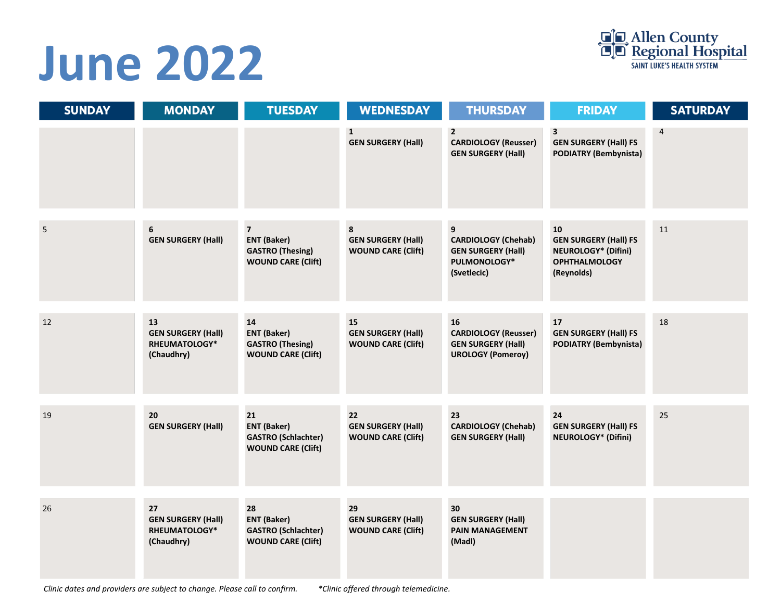# **June 2022**



| <b>SUNDAY</b>  | <b>MONDAY</b>                                                  | <b>TUESDAY</b>                                                                               | <b>WEDNESDAY</b>                                             | <b>THURSDAY</b>                                                                             | <b>FRIDAY</b>                                                                                          | <b>SATURDAY</b> |
|----------------|----------------------------------------------------------------|----------------------------------------------------------------------------------------------|--------------------------------------------------------------|---------------------------------------------------------------------------------------------|--------------------------------------------------------------------------------------------------------|-----------------|
|                |                                                                |                                                                                              | 1<br><b>GEN SURGERY (Hall)</b>                               | $\overline{2}$<br><b>CARDIOLOGY (Reusser)</b><br><b>GEN SURGERY (Hall)</b>                  | $\overline{\mathbf{3}}$<br><b>GEN SURGERY (Hall) FS</b><br><b>PODIATRY (Bembynista)</b>                | $\overline{4}$  |
| $\overline{5}$ | 6<br><b>GEN SURGERY (Hall)</b>                                 | $\overline{7}$<br><b>ENT (Baker)</b><br><b>GASTRO</b> (Thesing)<br><b>WOUND CARE (Clift)</b> | 8<br><b>GEN SURGERY (Hall)</b><br><b>WOUND CARE (Clift)</b>  | 9<br><b>CARDIOLOGY (Chehab)</b><br><b>GEN SURGERY (Hall)</b><br>PULMONOLOGY*<br>(Svetlecic) | 10<br><b>GEN SURGERY (Hall) FS</b><br><b>NEUROLOGY* (Difini)</b><br><b>OPHTHALMOLOGY</b><br>(Reynolds) | 11              |
| 12             | 13<br><b>GEN SURGERY (Hall)</b><br>RHEUMATOLOGY*<br>(Chaudhry) | 14<br><b>ENT (Baker)</b><br><b>GASTRO</b> (Thesing)<br><b>WOUND CARE (Clift)</b>             | 15<br><b>GEN SURGERY (Hall)</b><br><b>WOUND CARE (Clift)</b> | 16<br><b>CARDIOLOGY (Reusser)</b><br><b>GEN SURGERY (Hall)</b><br><b>UROLOGY (Pomeroy)</b>  | 17<br><b>GEN SURGERY (Hall) FS</b><br><b>PODIATRY (Bembynista)</b>                                     | 18              |
| 19             | 20<br><b>GEN SURGERY (Hall)</b>                                | 21<br><b>ENT (Baker)</b><br><b>GASTRO (Schlachter)</b><br><b>WOUND CARE (Clift)</b>          | 22<br><b>GEN SURGERY (Hall)</b><br><b>WOUND CARE (Clift)</b> | 23<br><b>CARDIOLOGY (Chehab)</b><br><b>GEN SURGERY (Hall)</b>                               | 24<br><b>GEN SURGERY (Hall) FS</b><br><b>NEUROLOGY* (Difini)</b>                                       | 25              |
| 26             | 27<br><b>GEN SURGERY (Hall)</b><br>RHEUMATOLOGY*<br>(Chaudhry) | 28<br><b>ENT (Baker)</b><br><b>GASTRO (Schlachter)</b><br><b>WOUND CARE (Clift)</b>          | 29<br><b>GEN SURGERY (Hall)</b><br><b>WOUND CARE (Clift)</b> | 30<br><b>GEN SURGERY (Hall)</b><br><b>PAIN MANAGEMENT</b><br>(Madl)                         |                                                                                                        |                 |

*Clinic dates and providers are subject to change. Please call to confirm. \*Clinic offered through telemedicine.*